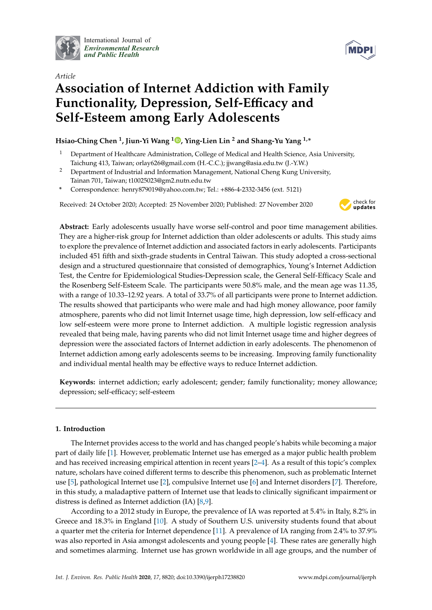

International Journal of *[Environmental Research](http://www.mdpi.com/journal/ijerph) and Public Health*



# *Article* **Association of Internet Addiction with Family Functionality, Depression, Self-E**ffi**cacy and Self-Esteem among Early Adolescents**

# **Hsiao-Ching Chen <sup>1</sup> , Jiun-Yi Wang [1](https://orcid.org/0000-0001-8291-0603) , Ying-Lien Lin <sup>2</sup> and Shang-Yu Yang 1,\***

- <sup>1</sup> Department of Healthcare Administration, College of Medical and Health Science, Asia University, Taichung 413, Taiwan; orlay626@gmail.com (H.-C.C.); jjwang@asia.edu.tw (J.-Y.W.)
- <sup>2</sup> Department of Industrial and Information Management, National Cheng Kung University, Tainan 701, Taiwan; t10025023@gm2.nutn.edu.tw
- **\*** Correspondence: henry879019@yahoo.com.tw; Tel.: +886-4-2332-3456 (ext. 5121)

Received: 24 October 2020; Accepted: 25 November 2020; Published: 27 November 2020



**Abstract:** Early adolescents usually have worse self-control and poor time management abilities. They are a higher-risk group for Internet addiction than older adolescents or adults. This study aims to explore the prevalence of Internet addiction and associated factors in early adolescents. Participants included 451 fifth and sixth-grade students in Central Taiwan. This study adopted a cross-sectional design and a structured questionnaire that consisted of demographics, Young's Internet Addiction Test, the Centre for Epidemiological Studies-Depression scale, the General Self-Efficacy Scale and the Rosenberg Self-Esteem Scale. The participants were 50.8% male, and the mean age was 11.35, with a range of 10.33–12.92 years. A total of 33.7% of all participants were prone to Internet addiction. The results showed that participants who were male and had high money allowance, poor family atmosphere, parents who did not limit Internet usage time, high depression, low self-efficacy and low self-esteem were more prone to Internet addiction. A multiple logistic regression analysis revealed that being male, having parents who did not limit Internet usage time and higher degrees of depression were the associated factors of Internet addiction in early adolescents. The phenomenon of Internet addiction among early adolescents seems to be increasing. Improving family functionality and individual mental health may be effective ways to reduce Internet addiction.

**Keywords:** internet addiction; early adolescent; gender; family functionality; money allowance; depression; self-efficacy; self-esteem

# **1. Introduction**

The Internet provides access to the world and has changed people's habits while becoming a major part of daily life [\[1\]](#page-8-0). However, problematic Internet use has emerged as a major public health problem and has received increasing empirical attention in recent years [\[2](#page-8-1)[–4\]](#page-9-0). As a result of this topic's complex nature, scholars have coined different terms to describe this phenomenon, such as problematic Internet use [\[5\]](#page-9-1), pathological Internet use [\[2\]](#page-8-1), compulsive Internet use [\[6\]](#page-9-2) and Internet disorders [\[7\]](#page-9-3). Therefore, in this study, a maladaptive pattern of Internet use that leads to clinically significant impairment or distress is defined as Internet addiction (IA) [\[8,](#page-9-4)[9\]](#page-9-5).

According to a 2012 study in Europe, the prevalence of IA was reported at 5.4% in Italy, 8.2% in Greece and 18.3% in England [\[10\]](#page-9-6). A study of Southern U.S. university students found that about a quarter met the criteria for Internet dependence [\[11\]](#page-9-7). A prevalence of IA ranging from 2.4% to 37.9% was also reported in Asia amongst adolescents and young people [\[4\]](#page-9-0). These rates are generally high and sometimes alarming. Internet use has grown worldwide in all age groups, and the number of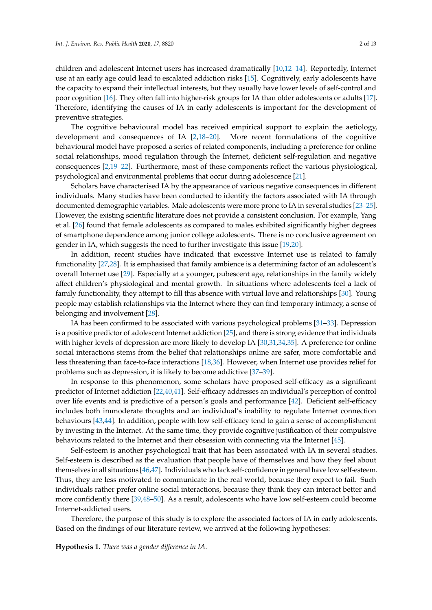children and adolescent Internet users has increased dramatically [\[10](#page-9-6)[,12](#page-9-8)[–14\]](#page-9-9). Reportedly, Internet use at an early age could lead to escalated addiction risks [\[15\]](#page-9-10). Cognitively, early adolescents have the capacity to expand their intellectual interests, but they usually have lower levels of self-control and poor cognition [\[16\]](#page-9-11). They often fall into higher-risk groups for IA than older adolescents or adults [\[17\]](#page-9-12). Therefore, identifying the causes of IA in early adolescents is important for the development of preventive strategies.

The cognitive behavioural model has received empirical support to explain the aetiology, development and consequences of IA [\[2,](#page-8-1)[18](#page-9-13)[–20\]](#page-9-14). More recent formulations of the cognitive behavioural model have proposed a series of related components, including a preference for online social relationships, mood regulation through the Internet, deficient self-regulation and negative consequences [\[2](#page-8-1)[,19–](#page-9-15)[22\]](#page-9-16). Furthermore, most of these components reflect the various physiological, psychological and environmental problems that occur during adolescence [\[21\]](#page-9-17).

Scholars have characterised IA by the appearance of various negative consequences in different individuals. Many studies have been conducted to identify the factors associated with IA through documented demographic variables. Male adolescents were more prone to IA in several studies [\[23–](#page-9-18)[25\]](#page-9-19). However, the existing scientific literature does not provide a consistent conclusion. For example, Yang et al. [\[26\]](#page-9-20) found that female adolescents as compared to males exhibited significantly higher degrees of smartphone dependence among junior college adolescents. There is no conclusive agreement on gender in IA, which suggests the need to further investigate this issue [\[19,](#page-9-15)[20\]](#page-9-14).

In addition, recent studies have indicated that excessive Internet use is related to family functionality [\[27,](#page-10-0)[28\]](#page-10-1). It is emphasised that family ambience is a determining factor of an adolescent's overall Internet use [\[29\]](#page-10-2). Especially at a younger, pubescent age, relationships in the family widely affect children's physiological and mental growth. In situations where adolescents feel a lack of family functionality, they attempt to fill this absence with virtual love and relationships [\[30\]](#page-10-3). Young people may establish relationships via the Internet where they can find temporary intimacy, a sense of belonging and involvement [\[28\]](#page-10-1).

IA has been confirmed to be associated with various psychological problems [\[31–](#page-10-4)[33\]](#page-10-5). Depression is a positive predictor of adolescent Internet addiction [\[25\]](#page-9-19), and there is strong evidence that individuals with higher levels of depression are more likely to develop IA [\[30](#page-10-3)[,31,](#page-10-4)[34](#page-10-6)[,35\]](#page-10-7). A preference for online social interactions stems from the belief that relationships online are safer, more comfortable and less threatening than face-to-face interactions [\[18](#page-9-13)[,36\]](#page-10-8). However, when Internet use provides relief for problems such as depression, it is likely to become addictive [\[37](#page-10-9)[–39\]](#page-10-10).

In response to this phenomenon, some scholars have proposed self-efficacy as a significant predictor of Internet addiction [\[22,](#page-9-16)[40,](#page-10-11)[41\]](#page-10-12). Self-efficacy addresses an individual's perception of control over life events and is predictive of a person's goals and performance [\[42\]](#page-10-13). Deficient self-efficacy includes both immoderate thoughts and an individual's inability to regulate Internet connection behaviours [\[43,](#page-10-14)[44\]](#page-10-15). In addition, people with low self-efficacy tend to gain a sense of accomplishment by investing in the Internet. At the same time, they provide cognitive justification of their compulsive behaviours related to the Internet and their obsession with connecting via the Internet [\[45\]](#page-10-16).

Self-esteem is another psychological trait that has been associated with IA in several studies. Self-esteem is described as the evaluation that people have of themselves and how they feel about themselves in all situations [\[46](#page-10-17)[,47\]](#page-10-18). Individuals who lack self-confidence in general have low self-esteem. Thus, they are less motivated to communicate in the real world, because they expect to fail. Such individuals rather prefer online social interactions, because they think they can interact better and more confidently there [\[39](#page-10-10)[,48–](#page-11-0)[50\]](#page-11-1). As a result, adolescents who have low self-esteem could become Internet-addicted users.

Therefore, the purpose of this study is to explore the associated factors of IA in early adolescents. Based on the findings of our literature review, we arrived at the following hypotheses:

**Hypothesis 1.** *There was a gender di*ff*erence in IA.*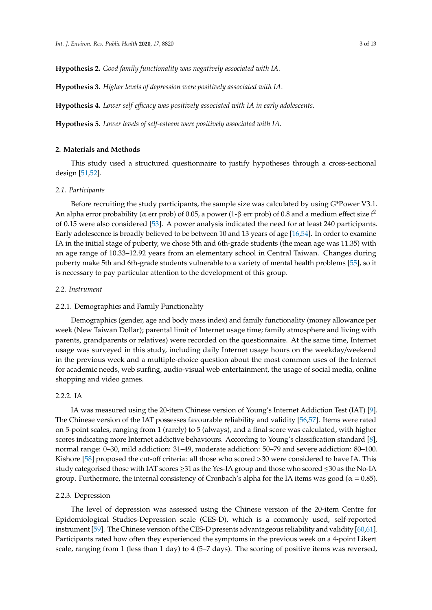**Hypothesis 2.** *Good family functionality was negatively associated with IA.*

**Hypothesis 3.** *Higher levels of depression were positively associated with IA.*

**Hypothesis 4.** *Lower self-e*ffi*cacy was positively associated with IA in early adolescents.*

**Hypothesis 5.** *Lower levels of self-esteem were positively associated with IA.*

# **2. Materials and Methods**

This study used a structured questionnaire to justify hypotheses through a cross-sectional design [\[51,](#page-11-2)[52\]](#page-11-3).

# *2.1. Participants*

Before recruiting the study participants, the sample size was calculated by using G\*Power V3.1. An alpha error probability ( $\alpha$  err prob) of 0.05, a power (1- $\beta$  err prob) of 0.8 and a medium effect size  $f^2$ of 0.15 were also considered [\[53\]](#page-11-4). A power analysis indicated the need for at least 240 participants. Early adolescence is broadly believed to be between 10 and 13 years of age [\[16,](#page-9-11)[54\]](#page-11-5). In order to examine IA in the initial stage of puberty, we chose 5th and 6th-grade students (the mean age was 11.35) with an age range of 10.33–12.92 years from an elementary school in Central Taiwan. Changes during puberty make 5th and 6th-grade students vulnerable to a variety of mental health problems [\[55\]](#page-11-6), so it is necessary to pay particular attention to the development of this group.

# *2.2. Instrument*

# 2.2.1. Demographics and Family Functionality

Demographics (gender, age and body mass index) and family functionality (money allowance per week (New Taiwan Dollar); parental limit of Internet usage time; family atmosphere and living with parents, grandparents or relatives) were recorded on the questionnaire. At the same time, Internet usage was surveyed in this study, including daily Internet usage hours on the weekday/weekend in the previous week and a multiple-choice question about the most common uses of the Internet for academic needs, web surfing, audio-visual web entertainment, the usage of social media, online shopping and video games.

# 2.2.2. IA

IA was measured using the 20-item Chinese version of Young's Internet Addiction Test (IAT) [\[9\]](#page-9-5). The Chinese version of the IAT possesses favourable reliability and validity [\[56,](#page-11-7)[57\]](#page-11-8). Items were rated on 5-point scales, ranging from 1 (rarely) to 5 (always), and a final score was calculated, with higher scores indicating more Internet addictive behaviours. According to Young's classification standard [\[8\]](#page-9-4), normal range: 0–30, mild addiction: 31–49, moderate addiction: 50–79 and severe addiction: 80–100. Kishore [\[58\]](#page-11-9) proposed the cut-off criteria: all those who scored >30 were considered to have IA. This study categorised those with IAT scores ≥31 as the Yes-IA group and those who scored ≤30 as the No-IA group. Furthermore, the internal consistency of Cronbach's alpha for the IA items was good ( $\alpha$  = 0.85).

# 2.2.3. Depression

The level of depression was assessed using the Chinese version of the 20-item Centre for Epidemiological Studies-Depression scale (CES-D), which is a commonly used, self-reported instrument [\[59\]](#page-11-10). The Chinese version of the CES-D presents advantageous reliability and validity [\[60](#page-11-11)[,61\]](#page-11-12). Participants rated how often they experienced the symptoms in the previous week on a 4-point Likert scale, ranging from 1 (less than 1 day) to 4 (5–7 days). The scoring of positive items was reversed,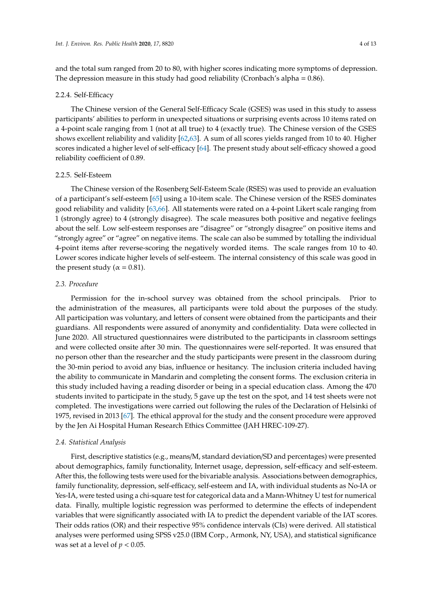and the total sum ranged from 20 to 80, with higher scores indicating more symptoms of depression. The depression measure in this study had good reliability (Cronbach's alpha  $= 0.86$ ).

#### 2.2.4. Self-Efficacy

The Chinese version of the General Self-Efficacy Scale (GSES) was used in this study to assess participants' abilities to perform in unexpected situations or surprising events across 10 items rated on a 4-point scale ranging from 1 (not at all true) to 4 (exactly true). The Chinese version of the GSES shows excellent reliability and validity [\[62](#page-11-13)[,63\]](#page-11-14). A sum of all scores yields ranged from 10 to 40. Higher scores indicated a higher level of self-efficacy [\[64\]](#page-11-15). The present study about self-efficacy showed a good reliability coefficient of 0.89.

# 2.2.5. Self-Esteem

The Chinese version of the Rosenberg Self-Esteem Scale (RSES) was used to provide an evaluation of a participant's self-esteem [\[65\]](#page-11-16) using a 10-item scale. The Chinese version of the RSES dominates good reliability and validity [\[63](#page-11-14)[,66\]](#page-11-17). All statements were rated on a 4-point Likert scale ranging from 1 (strongly agree) to 4 (strongly disagree). The scale measures both positive and negative feelings about the self. Low self-esteem responses are "disagree" or "strongly disagree" on positive items and "strongly agree" or "agree" on negative items. The scale can also be summed by totalling the individual 4-point items after reverse-scoring the negatively worded items. The scale ranges from 10 to 40. Lower scores indicate higher levels of self-esteem. The internal consistency of this scale was good in the present study ( $\alpha = 0.81$ ).

# *2.3. Procedure*

Permission for the in-school survey was obtained from the school principals. Prior to the administration of the measures, all participants were told about the purposes of the study. All participation was voluntary, and letters of consent were obtained from the participants and their guardians. All respondents were assured of anonymity and confidentiality. Data were collected in June 2020. All structured questionnaires were distributed to the participants in classroom settings and were collected onsite after 30 min. The questionnaires were self-reported. It was ensured that no person other than the researcher and the study participants were present in the classroom during the 30-min period to avoid any bias, influence or hesitancy. The inclusion criteria included having the ability to communicate in Mandarin and completing the consent forms. The exclusion criteria in this study included having a reading disorder or being in a special education class. Among the 470 students invited to participate in the study, 5 gave up the test on the spot, and 14 test sheets were not completed. The investigations were carried out following the rules of the Declaration of Helsinki of 1975, revised in 2013 [\[67\]](#page-11-18). The ethical approval for the study and the consent procedure were approved by the Jen Ai Hospital Human Research Ethics Committee (JAH HREC-109-27).

#### *2.4. Statistical Analysis*

First, descriptive statistics (e.g., means/M, standard deviation/SD and percentages) were presented about demographics, family functionality, Internet usage, depression, self-efficacy and self-esteem. After this, the following tests were used for the bivariable analysis. Associations between demographics, family functionality, depression, self-efficacy, self-esteem and IA, with individual students as No-IA or Yes-IA, were tested using a chi-square test for categorical data and a Mann-Whitney U test for numerical data. Finally, multiple logistic regression was performed to determine the effects of independent variables that were significantly associated with IA to predict the dependent variable of the IAT scores. Their odds ratios (OR) and their respective 95% confidence intervals (CIs) were derived. All statistical analyses were performed using SPSS v25.0 (IBM Corp., Armonk, NY, USA), and statistical significance was set at a level of  $p < 0.05$ .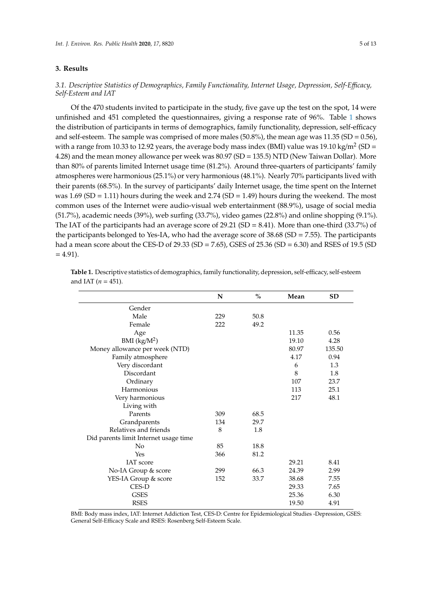# **3. Results**

# *3.1. Descriptive Statistics of Demographics, Family Functionality, Internet Usage, Depression, Self-E*ffi*cacy, Self-Esteem and IAT*

Of the 470 students invited to participate in the study, five gave up the test on the spot, 14 were unfinished and 451 completed the questionnaires, giving a response rate of 96%. Table [1](#page-4-0) shows the distribution of participants in terms of demographics, family functionality, depression, self-efficacy and self-esteem. The sample was comprised of more males  $(50.8\%)$ , the mean age was  $11.35$   $(SD = 0.56)$ , with a range from 10.33 to 12.92 years, the average body mass index (BMI) value was 19.10 kg/m<sup>2</sup> (SD = 4.28) and the mean money allowance per week was 80.97 (SD = 135.5) NTD (New Taiwan Dollar). More than 80% of parents limited Internet usage time (81.2%). Around three-quarters of participants' family atmospheres were harmonious (25.1%) or very harmonious (48.1%). Nearly 70% participants lived with their parents (68.5%). In the survey of participants' daily Internet usage, the time spent on the Internet was  $1.69$  (SD = 1.11) hours during the week and  $2.74$  (SD = 1.49) hours during the weekend. The most common uses of the Internet were audio-visual web entertainment (88.9%), usage of social media (51.7%), academic needs (39%), web surfing (33.7%), video games (22.8%) and online shopping (9.1%). The IAT of the participants had an average score of 29.21 (SD = 8.41). More than one-third (33.7%) of the participants belonged to Yes-IA, who had the average score of 38.68 (SD = 7.55). The participants had a mean score about the CES-D of 29.33 (SD = 7.65), GSES of 25.36 (SD = 6.30) and RSES of 19.5 (SD  $= 4.91$ ).

|                                       | N   | $\%$ | Mean  | <b>SD</b> |
|---------------------------------------|-----|------|-------|-----------|
| Gender                                |     |      |       |           |
| Male                                  | 229 | 50.8 |       |           |
| Female                                | 222 | 49.2 |       |           |
| Age                                   |     |      | 11.35 | 0.56      |
| BMI $(kg/M^2)$                        |     |      | 19.10 | 4.28      |
| Money allowance per week (NTD)        |     |      | 80.97 | 135.50    |
| Family atmosphere                     |     |      | 4.17  | 0.94      |
| Very discordant                       |     |      | 6     | 1.3       |
| Discordant                            |     |      | 8     | 1.8       |
| Ordinary                              |     |      | 107   | 23.7      |
| Harmonious                            |     |      | 113   | 25.1      |
| Very harmonious                       |     |      | 217   | 48.1      |
| Living with                           |     |      |       |           |
| Parents                               | 309 | 68.5 |       |           |
| Grandparents                          | 134 | 29.7 |       |           |
| Relatives and friends                 | 8   | 1.8  |       |           |
| Did parents limit Internet usage time |     |      |       |           |
| No                                    | 85  | 18.8 |       |           |
| Yes                                   | 366 | 81.2 |       |           |
| <b>IAT</b> score                      |     |      | 29.21 | 8.41      |
| No-IA Group & score                   | 299 | 66.3 | 24.39 | 2.99      |
| YES-IA Group & score                  | 152 | 33.7 | 38.68 | 7.55      |
| CES-D                                 |     |      | 29.33 | 7.65      |
| <b>GSES</b>                           |     |      | 25.36 | 6.30      |
| <b>RSES</b>                           |     |      | 19.50 | 4.91      |

<span id="page-4-0"></span>Table 1. Descriptive statistics of demographics, family functionality, depression, self-efficacy, self-esteem and IAT ( $n = 451$ ).

BMI: Body mass index, IAT: Internet Addiction Test, CES-D: Centre for Epidemiological Studies -Depression, GSES: General Self-Efficacy Scale and RSES: Rosenberg Self-Esteem Scale.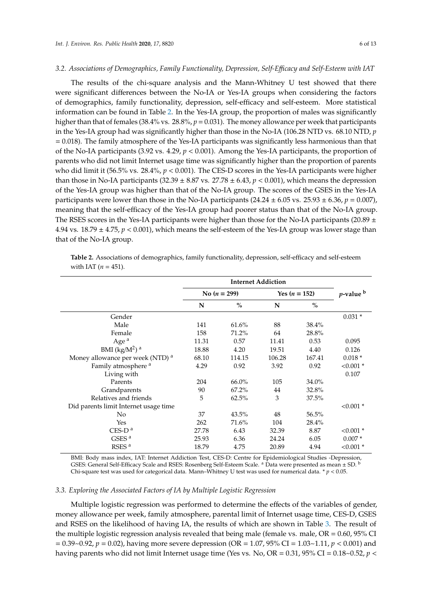### *3.2. Associations of Demographics, Family Functionality, Depression, Self-E*ffi*cacy and Self-Esteem with IAT*

The results of the chi-square analysis and the Mann-Whitney U test showed that there were significant differences between the No-IA or Yes-IA groups when considering the factors of demographics, family functionality, depression, self-efficacy and self-esteem. More statistical information can be found in Table [2.](#page-5-0) In the Yes-IA group, the proportion of males was significantly higher than that of females (38.4% vs. 28.8%,  $p = 0.031$ ). The money allowance per week that participants in the Yes-IA group had was significantly higher than those in the No-IA (106.28 NTD vs. 68.10 NTD, *p* = 0.018). The family atmosphere of the Yes-IA participants was significantly less harmonious than that of the No-IA participants (3.92 vs. 4.29, *p* < 0.001). Among the Yes-IA participants, the proportion of parents who did not limit Internet usage time was significantly higher than the proportion of parents who did limit it (56.5% vs. 28.4%, *p* < 0.001). The CES-D scores in the Yes-IA participants were higher than those in No-IA participants (32.39  $\pm$  8.87 vs. 27.78  $\pm$  6.43, *p* < 0.001), which means the depression of the Yes-IA group was higher than that of the No-IA group. The scores of the GSES in the Yes-IA participants were lower than those in the No-IA participants ( $24.24 \pm 6.05$  vs.  $25.93 \pm 6.36$ ,  $p = 0.007$ ), meaning that the self-efficacy of the Yes-IA group had poorer status than that of the No-IA group. The RSES scores in the Yes-IA participants were higher than those for the No-IA participants (20.89  $\pm$ 4.94 vs.  $18.79 \pm 4.75$ ,  $p < 0.001$ ), which means the self-esteem of the Yes-IA group was lower stage than that of the No-IA group.

<span id="page-5-0"></span>**Table 2.** Associations of demographics, family functionality, depression, self-efficacy and self-esteem with IAT  $(n = 451)$ .

|                                             | <b>Internet Addiction</b> |               |                 |               |                      |
|---------------------------------------------|---------------------------|---------------|-----------------|---------------|----------------------|
|                                             | No $(n = 299)$            |               | Yes $(n = 152)$ |               | $p$ -value $\rm{^b}$ |
|                                             | N                         | $\frac{0}{0}$ | N               | $\frac{0}{0}$ |                      |
| Gender                                      |                           |               |                 |               | $0.031*$             |
| Male                                        | 141                       | 61.6%         | 88              | 38.4%         |                      |
| Female                                      | 158                       | 71.2%         | 64              | 28.8%         |                      |
| Age <sup>a</sup>                            | 11.31                     | 0.57          | 11.41           | 0.53          | 0.095                |
| BMI $(kg/M^2)$ <sup>a</sup>                 | 18.88                     | 4.20          | 19.51           | 4.40          | 0.126                |
| Money allowance per week (NTD) <sup>a</sup> | 68.10                     | 114.15        | 106.28          | 167.41        | $0.018*$             |
| Family atmosphere <sup>a</sup>              | 4.29                      | 0.92          | 3.92            | 0.92          | $< 0.001$ *          |
| Living with                                 |                           |               |                 |               | 0.107                |
| Parents                                     | 204                       | $66.0\%$      | 105             | 34.0%         |                      |
| Grandparents                                | 90                        | 67.2%         | 44              | 32.8%         |                      |
| Relatives and friends                       | 5                         | 62.5%         | 3               | 37.5%         |                      |
| Did parents limit Internet usage time       |                           |               |                 |               | $< 0.001$ *          |
| N <sub>0</sub>                              | 37                        | 43.5%         | 48              | 56.5%         |                      |
| Yes                                         | 262                       | 71.6%         | 104             | 28.4%         |                      |
| $CES-Da$                                    | 27.78                     | 6.43          | 32.39           | 8.87          | $< 0.001$ *          |
| GSES $a$                                    | 25.93                     | 6.36          | 24.24           | 6.05          | $0.007*$             |
| RSES <sup>a</sup>                           | 18.79                     | 4.75          | 20.89           | 4.94          | $< 0.001$ *          |

BMI: Body mass index, IAT: Internet Addiction Test, CES-D: Centre for Epidemiological Studies -Depression, GSES: General Self-Efficacy Scale and RSES: Rosenberg Self-Esteem Scale. <sup>a</sup> Data were presented as mean ± SD. <sup>b</sup> Chi-square test was used for categorical data. Mann–Whitney U test was used for numerical data.  $* p < 0.05$ .

#### *3.3. Exploring the Associated Factors of IA by Multiple Logistic Regression*

Multiple logistic regression was performed to determine the effects of the variables of gender, money allowance per week, family atmosphere, parental limit of Internet usage time, CES-D, GSES and RSES on the likelihood of having IA, the results of which are shown in Table [3.](#page-6-0) The result of the multiple logistic regression analysis revealed that being male (female vs. male,  $OR = 0.60$ ,  $95\%$  CI  $= 0.39 \sim 0.92$ ,  $p = 0.02$ ), having more severe depression (OR = 1.07, 95% CI = 1.03 $\sim 1.11$ ,  $p < 0.001$ ) and having parents who did not limit Internet usage time (Yes vs. No, OR = 0.31, 95% CI = 0.18~0.52, *p* <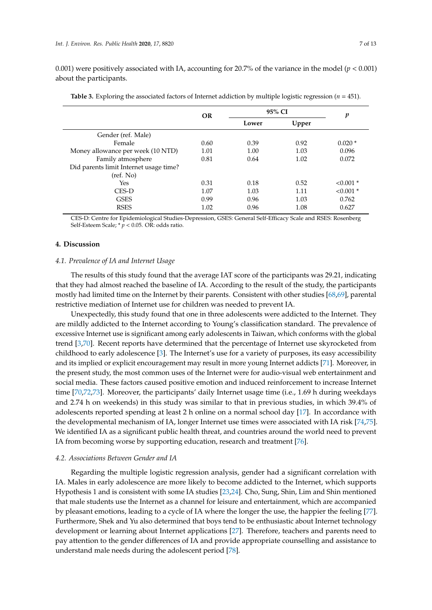0.001) were positively associated with IA, accounting for 20.7% of the variance in the model ( $p < 0.001$ ) about the participants.

|                                        | <b>OR</b> | 95% CI |       | $\boldsymbol{p}$ |
|----------------------------------------|-----------|--------|-------|------------------|
|                                        |           | Lower  | Upper |                  |
| Gender (ref. Male)                     |           |        |       |                  |
| Female                                 | 0.60      | 0.39   | 0.92  | $0.020*$         |
| Money allowance per week (10 NTD)      | 1.01      | 1.00   | 1.03  | 0.096            |
| Family atmosphere                      | 0.81      | 0.64   | 1.02  | 0.072            |
| Did parents limit Internet usage time? |           |        |       |                  |
| (ref. No)                              |           |        |       |                  |
| Yes                                    | 0.31      | 0.18   | 0.52  | $< 0.001$ *      |
| CES-D                                  | 1.07      | 1.03   | 1.11  | $< 0.001$ *      |
| <b>GSES</b>                            | 0.99      | 0.96   | 1.03  | 0.762            |
| <b>RSES</b>                            | 1.02      | 0.96   | 1.08  | 0.627            |

<span id="page-6-0"></span>**Table 3.** Exploring the associated factors of Internet addiction by multiple logistic regression (*n* = 451).

CES-D: Centre for Epidemiological Studies-Depression, GSES: General Self-Efficacy Scale and RSES: Rosenberg Self-Esteem Scale; \* *p* < 0.05. OR: odds ratio.

# **4. Discussion**

#### *4.1. Prevalence of IA and Internet Usage*

The results of this study found that the average IAT score of the participants was 29.21, indicating that they had almost reached the baseline of IA. According to the result of the study, the participants mostly had limited time on the Internet by their parents. Consistent with other studies [\[68,](#page-11-19)[69\]](#page-11-20), parental restrictive mediation of Internet use for children was needed to prevent IA.

Unexpectedly, this study found that one in three adolescents were addicted to the Internet. They are mildly addicted to the Internet according to Young's classification standard. The prevalence of excessive Internet use is significant among early adolescents in Taiwan, which conforms with the global trend [\[3](#page-8-2)[,70\]](#page-12-0). Recent reports have determined that the percentage of Internet use skyrocketed from childhood to early adolescence [\[3\]](#page-8-2). The Internet's use for a variety of purposes, its easy accessibility and its implied or explicit encouragement may result in more young Internet addicts [\[71\]](#page-12-1). Moreover, in the present study, the most common uses of the Internet were for audio-visual web entertainment and social media. These factors caused positive emotion and induced reinforcement to increase Internet time [\[70](#page-12-0)[,72](#page-12-2)[,73\]](#page-12-3). Moreover, the participants' daily Internet usage time (i.e., 1.69 h during weekdays and 2.74 h on weekends) in this study was similar to that in previous studies, in which 39.4% of adolescents reported spending at least 2 h online on a normal school day [\[17\]](#page-9-12). In accordance with the developmental mechanism of IA, longer Internet use times were associated with IA risk [\[74,](#page-12-4)[75\]](#page-12-5). We identified IA as a significant public health threat, and countries around the world need to prevent IA from becoming worse by supporting education, research and treatment [\[76\]](#page-12-6).

# *4.2. Associations Between Gender and IA*

Regarding the multiple logistic regression analysis, gender had a significant correlation with IA. Males in early adolescence are more likely to become addicted to the Internet, which supports Hypothesis 1 and is consistent with some IA studies [\[23,](#page-9-18)[24\]](#page-9-21). Cho, Sung, Shin, Lim and Shin mentioned that male students use the Internet as a channel for leisure and entertainment, which are accompanied by pleasant emotions, leading to a cycle of IA where the longer the use, the happier the feeling [\[77\]](#page-12-7). Furthermore, Shek and Yu also determined that boys tend to be enthusiastic about Internet technology development or learning about Internet applications [\[27\]](#page-10-0). Therefore, teachers and parents need to pay attention to the gender differences of IA and provide appropriate counselling and assistance to understand male needs during the adolescent period [\[78\]](#page-12-8).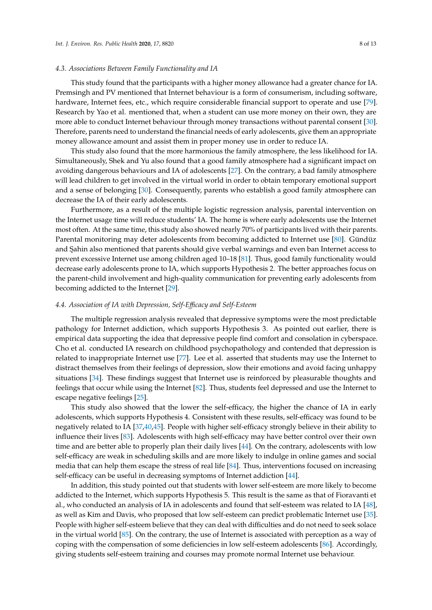## *4.3. Associations Between Family Functionality and IA*

This study found that the participants with a higher money allowance had a greater chance for IA. Premsingh and PV mentioned that Internet behaviour is a form of consumerism, including software, hardware, Internet fees, etc., which require considerable financial support to operate and use [\[79\]](#page-12-9). Research by Yao et al. mentioned that, when a student can use more money on their own, they are more able to conduct Internet behaviour through money transactions without parental consent [\[30\]](#page-10-3). Therefore, parents need to understand the financial needs of early adolescents, give them an appropriate money allowance amount and assist them in proper money use in order to reduce IA.

This study also found that the more harmonious the family atmosphere, the less likelihood for IA. Simultaneously, Shek and Yu also found that a good family atmosphere had a significant impact on avoiding dangerous behaviours and IA of adolescents [\[27\]](#page-10-0). On the contrary, a bad family atmosphere will lead children to get involved in the virtual world in order to obtain temporary emotional support and a sense of belonging [\[30\]](#page-10-3). Consequently, parents who establish a good family atmosphere can decrease the IA of their early adolescents.

Furthermore, as a result of the multiple logistic regression analysis, parental intervention on the Internet usage time will reduce students' IA. The home is where early adolescents use the Internet most often. At the same time, this study also showed nearly 70% of participants lived with their parents. Parental monitoring may deter adolescents from becoming addicted to Internet use [\[80\]](#page-12-10). Gündüz and Şahin also mentioned that parents should give verbal warnings and even ban Internet access to prevent excessive Internet use among children aged 10–18 [\[81\]](#page-12-11). Thus, good family functionality would decrease early adolescents prone to IA, which supports Hypothesis 2. The better approaches focus on the parent-child involvement and high-quality communication for preventing early adolescents from becoming addicted to the Internet [\[29\]](#page-10-2).

#### *4.4. Association of IA with Depression, Self-E*ffi*cacy and Self-Esteem*

The multiple regression analysis revealed that depressive symptoms were the most predictable pathology for Internet addiction, which supports Hypothesis 3. As pointed out earlier, there is empirical data supporting the idea that depressive people find comfort and consolation in cyberspace. Cho et al. conducted IA research on childhood psychopathology and contended that depression is related to inappropriate Internet use [\[77\]](#page-12-7). Lee et al. asserted that students may use the Internet to distract themselves from their feelings of depression, slow their emotions and avoid facing unhappy situations [\[34\]](#page-10-6). These findings suggest that Internet use is reinforced by pleasurable thoughts and feelings that occur while using the Internet [\[82\]](#page-12-12). Thus, students feel depressed and use the Internet to escape negative feelings [\[25\]](#page-9-19).

This study also showed that the lower the self-efficacy, the higher the chance of IA in early adolescents, which supports Hypothesis 4. Consistent with these results, self-efficacy was found to be negatively related to IA [\[37,](#page-10-9)[40,](#page-10-11)[45\]](#page-10-16). People with higher self-efficacy strongly believe in their ability to influence their lives [\[83\]](#page-12-13). Adolescents with high self-efficacy may have better control over their own time and are better able to properly plan their daily lives [\[44\]](#page-10-15). On the contrary, adolescents with low self-efficacy are weak in scheduling skills and are more likely to indulge in online games and social media that can help them escape the stress of real life [\[84\]](#page-12-14). Thus, interventions focused on increasing self-efficacy can be useful in decreasing symptoms of Internet addiction [\[44\]](#page-10-15).

In addition, this study pointed out that students with lower self-esteem are more likely to become addicted to the Internet, which supports Hypothesis 5. This result is the same as that of Fioravanti et al., who conducted an analysis of IA in adolescents and found that self-esteem was related to IA [\[48\]](#page-11-0), as well as Kim and Davis, who proposed that low self-esteem can predict problematic Internet use [\[35\]](#page-10-7). People with higher self-esteem believe that they can deal with difficulties and do not need to seek solace in the virtual world [\[85\]](#page-12-15). On the contrary, the use of Internet is associated with perception as a way of coping with the compensation of some deficiencies in low self-esteem adolescents [\[86\]](#page-12-16). Accordingly, giving students self-esteem training and courses may promote normal Internet use behaviour.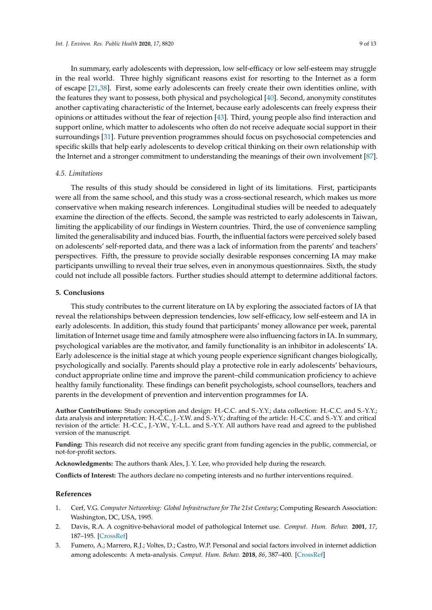In summary, early adolescents with depression, low self-efficacy or low self-esteem may struggle in the real world. Three highly significant reasons exist for resorting to the Internet as a form of escape [\[21,](#page-9-17)[38\]](#page-10-19). First, some early adolescents can freely create their own identities online, with the features they want to possess, both physical and psychological [\[40\]](#page-10-11). Second, anonymity constitutes another captivating characteristic of the Internet, because early adolescents can freely express their opinions or attitudes without the fear of rejection [\[43\]](#page-10-14). Third, young people also find interaction and support online, which matter to adolescents who often do not receive adequate social support in their surroundings [\[31\]](#page-10-4). Future prevention programmes should focus on psychosocial competencies and specific skills that help early adolescents to develop critical thinking on their own relationship with the Internet and a stronger commitment to understanding the meanings of their own involvement [\[87\]](#page-12-17).

### *4.5. Limitations*

The results of this study should be considered in light of its limitations. First, participants were all from the same school, and this study was a cross-sectional research, which makes us more conservative when making research inferences. Longitudinal studies will be needed to adequately examine the direction of the effects. Second, the sample was restricted to early adolescents in Taiwan, limiting the applicability of our findings in Western countries. Third, the use of convenience sampling limited the generalisability and induced bias. Fourth, the influential factors were perceived solely based on adolescents' self-reported data, and there was a lack of information from the parents' and teachers' perspectives. Fifth, the pressure to provide socially desirable responses concerning IA may make participants unwilling to reveal their true selves, even in anonymous questionnaires. Sixth, the study could not include all possible factors. Further studies should attempt to determine additional factors.

### **5. Conclusions**

This study contributes to the current literature on IA by exploring the associated factors of IA that reveal the relationships between depression tendencies, low self-efficacy, low self-esteem and IA in early adolescents. In addition, this study found that participants' money allowance per week, parental limitation of Internet usage time and family atmosphere were also influencing factors in IA. In summary, psychological variables are the motivator, and family functionality is an inhibitor in adolescents' IA. Early adolescence is the initial stage at which young people experience significant changes biologically, psychologically and socially. Parents should play a protective role in early adolescents' behaviours, conduct appropriate online time and improve the parent–child communication proficiency to achieve healthy family functionality. These findings can benefit psychologists, school counsellors, teachers and parents in the development of prevention and intervention programmes for IA.

**Author Contributions:** Study conception and design: H.-C.C. and S.-Y.Y.; data collection: H.-C.C. and S.-Y.Y.; data analysis and interpretation: H.-C.C., J.-Y.W. and S.-Y.Y.; drafting of the article: H.-C.C. and S.-Y.Y. and critical revision of the article: H.-C.C., J.-Y.W., Y.-L.L. and S.-Y.Y. All authors have read and agreed to the published version of the manuscript.

**Funding:** This research did not receive any specific grant from funding agencies in the public, commercial, or not-for-profit sectors.

**Acknowledgments:** The authors thank Alex, J. Y. Lee, who provided help during the research.

**Conflicts of Interest:** The authors declare no competing interests and no further interventions required.

# **References**

- <span id="page-8-0"></span>1. Cerf, V.G. *Computer Networking: Global Infrastructure for The 21st Century*; Computing Research Association: Washington, DC, USA, 1995.
- <span id="page-8-1"></span>2. Davis, R.A. A cognitive-behavioral model of pathological Internet use. *Comput. Hum. Behav.* **2001**, *17*, 187–195. [\[CrossRef\]](http://dx.doi.org/10.1016/S0747-5632(00)00041-8)
- <span id="page-8-2"></span>3. Fumero, A.; Marrero, R.J.; Voltes, D.; Castro, W.P. Personal and social factors involved in internet addiction among adolescents: A meta-analysis. *Comput. Hum. Behav.* **2018**, *86*, 387–400. [\[CrossRef\]](http://dx.doi.org/10.1016/j.chb.2018.05.005)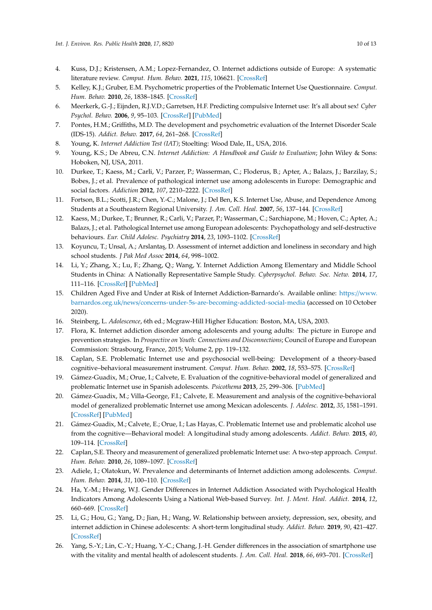- <span id="page-9-0"></span>4. Kuss, D.J.; Kristensen, A.M.; Lopez-Fernandez, O. Internet addictions outside of Europe: A systematic literature review. *Comput. Hum. Behav.* **2021**, *115*, 106621. [\[CrossRef\]](http://dx.doi.org/10.1016/j.chb.2020.106621)
- <span id="page-9-1"></span>5. Kelley, K.J.; Gruber, E.M. Psychometric properties of the Problematic Internet Use Questionnaire. *Comput. Hum. Behav.* **2010**, *26*, 1838–1845. [\[CrossRef\]](http://dx.doi.org/10.1016/j.chb.2010.07.018)
- <span id="page-9-2"></span>6. Meerkerk, G.-J.; Eijnden, R.J.V.D.; Garretsen, H.F. Predicting compulsive Internet use: It's all about sex! *Cyber Psychol. Behav.* **2006**, *9*, 95–103. [\[CrossRef\]](http://dx.doi.org/10.1089/cpb.2006.9.95) [\[PubMed\]](http://www.ncbi.nlm.nih.gov/pubmed/16497122)
- <span id="page-9-3"></span>7. Pontes, H.M.; Griffiths, M.D. The development and psychometric evaluation of the Internet Disorder Scale (IDS-15). *Addict. Behav.* **2017**, *64*, 261–268. [\[CrossRef\]](http://dx.doi.org/10.1016/j.addbeh.2015.09.003)
- <span id="page-9-4"></span>8. Young, K. *Internet Addiction Test (IAT)*; Stoelting: Wood Dale, IL, USA, 2016.
- <span id="page-9-5"></span>9. Young, K.S.; De Abreu, C.N. *Internet Addiction: A Handbook and Guide to Evaluation*; John Wiley & Sons: Hoboken, NJ, USA, 2011.
- <span id="page-9-6"></span>10. Durkee, T.; Kaess, M.; Carli, V.; Parzer, P.; Wasserman, C.; Floderus, B.; Apter, A.; Balazs, J.; Barzilay, S.; Bobes, J.; et al. Prevalence of pathological internet use among adolescents in Europe: Demographic and social factors. *Addiction* **2012**, *107*, 2210–2222. [\[CrossRef\]](http://dx.doi.org/10.1111/j.1360-0443.2012.03946.x)
- <span id="page-9-7"></span>11. Fortson, B.L.; Scotti, J.R.; Chen, Y.-C.; Malone, J.; Del Ben, K.S. Internet Use, Abuse, and Dependence Among Students at a Southeastern Regional University. *J. Am. Coll. Heal.* **2007**, *56*, 137–144. [\[CrossRef\]](http://dx.doi.org/10.3200/JACH.56.2.137-146)
- <span id="page-9-8"></span>12. Kaess, M.; Durkee, T.; Brunner, R.; Carli, V.; Parzer, P.; Wasserman, C.; Sarchiapone, M.; Hoven, C.; Apter, A.; Balazs, J.; et al. Pathological Internet use among European adolescents: Psychopathology and self-destructive behaviours. *Eur. Child Adolesc. Psychiatry* **2014**, *23*, 1093–1102. [\[CrossRef\]](http://dx.doi.org/10.1007/s00787-014-0562-7)
- 13. Koyuncu, T.; Unsal, A.; Arslantaş, D. Assessment of internet addiction and loneliness in secondary and high school students. *J Pak Med Assoc* **2014**, *64*, 998–1002.
- <span id="page-9-9"></span>14. Li, Y.; Zhang, X.; Lu, F.; Zhang, Q.; Wang, Y. Internet Addiction Among Elementary and Middle School Students in China: A Nationally Representative Sample Study. *Cyberpsychol. Behav. Soc. Netw.* **2014**, *17*, 111–116. [\[CrossRef\]](http://dx.doi.org/10.1089/cyber.2012.0482) [\[PubMed\]](http://www.ncbi.nlm.nih.gov/pubmed/23971432)
- <span id="page-9-10"></span>15. Children Aged Five and Under at Risk of Internet Addiction-Barnardo's. Available online: https://[www.](https://www.barnardos.org.uk/news/concerns-under-5s-are-becoming-addicted-social-media) barnardos.org.uk/news/[concerns-under-5s-are-becoming-addicted-social-media](https://www.barnardos.org.uk/news/concerns-under-5s-are-becoming-addicted-social-media) (accessed on 10 October 2020).
- <span id="page-9-11"></span>16. Steinberg, L. *Adolescence*, 6th ed.; Mcgraw-Hill Higher Education: Boston, MA, USA, 2003.
- <span id="page-9-12"></span>17. Flora, K. Internet addiction disorder among adolescents and young adults: The picture in Europe and prevention strategies. In *Prospective on Youth: Connections and Disconnections*; Council of Europe and European Commission: Strasbourg, France, 2015; Volume 2, pp. 119–132.
- <span id="page-9-13"></span>18. Caplan, S.E. Problematic Internet use and psychosocial well-being: Development of a theory-based cognitive–behavioral measurement instrument. *Comput. Hum. Behav.* **2002**, *18*, 553–575. [\[CrossRef\]](http://dx.doi.org/10.1016/S0747-5632(02)00004-3)
- <span id="page-9-15"></span>19. Gámez-Guadix, M.; Orue, I.; Calvete, E. Evaluation of the cognitive-behavioral model of generalized and problematic Internet use in Spanish adolescents. *Psicothema* **2013**, *25*, 299–306. [\[PubMed\]](http://www.ncbi.nlm.nih.gov/pubmed/23910742)
- <span id="page-9-14"></span>20. Gámez-Guadix, M.; Villa-George, F.I.; Calvete, E. Measurement and analysis of the cognitive-behavioral model of generalized problematic Internet use among Mexican adolescents. *J. Adolesc.* **2012**, *35*, 1581–1591. [\[CrossRef\]](http://dx.doi.org/10.1016/j.adolescence.2012.06.005) [\[PubMed\]](http://www.ncbi.nlm.nih.gov/pubmed/22789467)
- <span id="page-9-17"></span>21. Gámez-Guadix, M.; Calvete, E.; Orue, I.; Las Hayas, C. Problematic Internet use and problematic alcohol use from the cognitive—Behavioral model: A longitudinal study among adolescents. *Addict. Behav.* **2015**, *40*, 109–114. [\[CrossRef\]](http://dx.doi.org/10.1016/j.addbeh.2014.09.009)
- <span id="page-9-16"></span>22. Caplan, S.E. Theory and measurement of generalized problematic Internet use: A two-step approach. *Comput. Hum. Behav.* **2010**, *26*, 1089–1097. [\[CrossRef\]](http://dx.doi.org/10.1016/j.chb.2010.03.012)
- <span id="page-9-18"></span>23. Adiele, I.; Olatokun, W. Prevalence and determinants of Internet addiction among adolescents. *Comput. Hum. Behav.* **2014**, *31*, 100–110. [\[CrossRef\]](http://dx.doi.org/10.1016/j.chb.2013.10.028)
- <span id="page-9-21"></span>24. Ha, Y.-M.; Hwang, W.J. Gender Differences in Internet Addiction Associated with Psychological Health Indicators Among Adolescents Using a National Web-based Survey. *Int. J. Ment. Heal. Addict.* **2014**, *12*, 660–669. [\[CrossRef\]](http://dx.doi.org/10.1007/s11469-014-9500-7)
- <span id="page-9-19"></span>25. Li, G.; Hou, G.; Yang, D.; Jian, H.; Wang, W. Relationship between anxiety, depression, sex, obesity, and internet addiction in Chinese adolescents: A short-term longitudinal study. *Addict. Behav.* **2019**, *90*, 421–427. [\[CrossRef\]](http://dx.doi.org/10.1016/j.addbeh.2018.12.009)
- <span id="page-9-20"></span>26. Yang, S.-Y.; Lin, C.-Y.; Huang, Y.-C.; Chang, J.-H. Gender differences in the association of smartphone use with the vitality and mental health of adolescent students. *J. Am. Coll. Heal.* **2018**, *66*, 693–701. [\[CrossRef\]](http://dx.doi.org/10.1080/07448481.2018.1454930)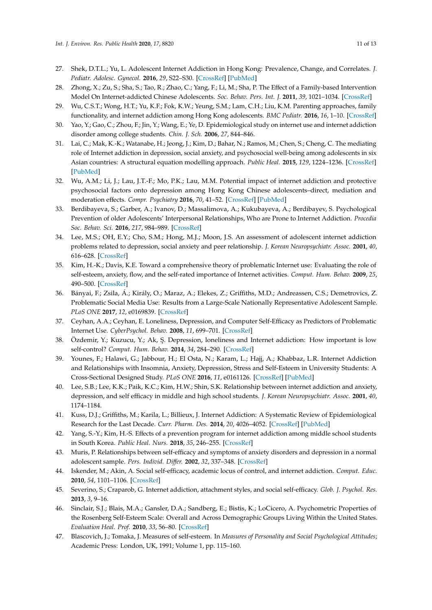- <span id="page-10-0"></span>27. Shek, D.T.L.; Yu, L. Adolescent Internet Addiction in Hong Kong: Prevalence, Change, and Correlates. *J. Pediatr. Adolesc. Gynecol.* **2016**, *29*, S22–S30. [\[CrossRef\]](http://dx.doi.org/10.1016/j.jpag.2015.10.005) [\[PubMed\]](http://www.ncbi.nlm.nih.gov/pubmed/26461526)
- <span id="page-10-1"></span>28. Zhong, X.; Zu, S.; Sha, S.; Tao, R.; Zhao, C.; Yang, F.; Li, M.; Sha, P. The Effect of a Family-based Intervention Model On Internet-addicted Chinese Adolescents. *Soc. Behav. Pers. Int. J.* **2011**, *39*, 1021–1034. [\[CrossRef\]](http://dx.doi.org/10.2224/sbp.2011.39.8.1021)
- <span id="page-10-2"></span>29. Wu, C.S.T.; Wong, H.T.; Yu, K.F.; Fok, K.W.; Yeung, S.M.; Lam, C.H.; Liu, K.M. Parenting approaches, family functionality, and internet addiction among Hong Kong adolescents. *BMC Pediatr.* **2016**, *16*, 1–10. [\[CrossRef\]](http://dx.doi.org/10.1186/s12887-016-0666-y)
- <span id="page-10-3"></span>30. Yao, Y.; Gao, C.; Zhou, F.; Jin, Y.; Wang, E.; Ye, D. Epidemiological study on internet use and internet addiction disorder among college students. *Chin. J. Sch.* **2006**, *27*, 844–846.
- <span id="page-10-4"></span>31. Lai, C.; Mak, K.-K.; Watanabe, H.; Jeong, J.; Kim, D.; Bahar, N.; Ramos, M.; Chen, S.; Cheng, C. The mediating role of Internet addiction in depression, social anxiety, and psychosocial well-being among adolescents in six Asian countries: A structural equation modelling approach. *Public Heal.* **2015**, *129*, 1224–1236. [\[CrossRef\]](http://dx.doi.org/10.1016/j.puhe.2015.07.031) [\[PubMed\]](http://www.ncbi.nlm.nih.gov/pubmed/26343546)
- 32. Wu, A.M.; Li, J.; Lau, J.T.-F.; Mo, P.K.; Lau, M.M. Potential impact of internet addiction and protective psychosocial factors onto depression among Hong Kong Chinese adolescents–direct, mediation and moderation effects. *Compr. Psychiatry* **2016**, *70*, 41–52. [\[CrossRef\]](http://dx.doi.org/10.1016/j.comppsych.2016.06.011) [\[PubMed\]](http://www.ncbi.nlm.nih.gov/pubmed/27624422)
- <span id="page-10-5"></span>33. Berdibayeva, S.; Garber, A.; Ivanov, D.; Massalimova, A.; Kukubayeva, A.; Berdibayev, S. Psychological Prevention of older Adolescents' Interpersonal Relationships, Who are Prone to Internet Addiction. *Procedia Soc. Behav. Sci.* **2016**, *217*, 984–989. [\[CrossRef\]](http://dx.doi.org/10.1016/j.sbspro.2016.02.081)
- <span id="page-10-6"></span>34. Lee, M.S.; OH, E.Y.; Cho, S.M.; Hong, M.J.; Moon, J.S. An assessment of adolescent internet addiction problems related to depression, social anxiety and peer relationship. *J. Korean Neuropsychiatr. Assoc.* **2001**, *40*, 616–628. [\[CrossRef\]](http://dx.doi.org/10.5124/jkma.1997.40.5.616)
- <span id="page-10-7"></span>35. Kim, H.-K.; Davis, K.E. Toward a comprehensive theory of problematic Internet use: Evaluating the role of self-esteem, anxiety, flow, and the self-rated importance of Internet activities. *Comput. Hum. Behav.* **2009**, *25*, 490–500. [\[CrossRef\]](http://dx.doi.org/10.1016/j.chb.2008.11.001)
- <span id="page-10-8"></span>36. Bányai, F.; Zsila, Á.; Király, O.; Maraz, A.; Elekes, Z.; Griffiths, M.D.; Andreassen, C.S.; Demetrovics, Z. Problematic Social Media Use: Results from a Large-Scale Nationally Representative Adolescent Sample. *PLoS ONE* **2017**, *12*, e0169839. [\[CrossRef\]](http://dx.doi.org/10.1371/journal.pone.0169839)
- <span id="page-10-9"></span>37. Ceyhan, A.A.; Ceyhan, E. Loneliness, Depression, and Computer Self-Efficacy as Predictors of Problematic Internet Use. *CyberPsychol. Behav.* **2008**, *11*, 699–701. [\[CrossRef\]](http://dx.doi.org/10.1089/cpb.2007.0255)
- <span id="page-10-19"></span>38. Özdemir, Y.; Kuzucu, Y.; Ak, Ş. Depression, loneliness and Internet addiction: How important is low self-control? *Comput. Hum. Behav.* **2014**, *34*, 284–290. [\[CrossRef\]](http://dx.doi.org/10.1016/j.chb.2014.02.009)
- <span id="page-10-10"></span>39. Younes, F.; Halawi, G.; Jabbour, H.; El Osta, N.; Karam, L.; Hajj, A.; Khabbaz, L.R. Internet Addiction and Relationships with Insomnia, Anxiety, Depression, Stress and Self-Esteem in University Students: A Cross-Sectional Designed Study. *PLoS ONE* **2016**, *11*, e0161126. [\[CrossRef\]](http://dx.doi.org/10.1371/journal.pone.0161126) [\[PubMed\]](http://www.ncbi.nlm.nih.gov/pubmed/27618306)
- <span id="page-10-11"></span>40. Lee, S.B.; Lee, K.K.; Paik, K.C.; Kim, H.W.; Shin, S.K. Relationship between internet addiction and anxiety, depression, and self efficacy in middle and high school students. *J. Korean Neuropsychiatr. Assoc.* **2001**, *40*, 1174–1184.
- <span id="page-10-12"></span>41. Kuss, D.J.; Griffiths, M.; Karila, L.; Billieux, J. Internet Addiction: A Systematic Review of Epidemiological Research for the Last Decade. *Curr. Pharm. Des.* **2014**, *20*, 4026–4052. [\[CrossRef\]](http://dx.doi.org/10.2174/13816128113199990617) [\[PubMed\]](http://www.ncbi.nlm.nih.gov/pubmed/24001297)
- <span id="page-10-13"></span>42. Yang, S.-Y.; Kim, H.-S. Effects of a prevention program for internet addiction among middle school students in South Korea. *Public Heal. Nurs.* **2018**, *35*, 246–255. [\[CrossRef\]](http://dx.doi.org/10.1111/phn.12394)
- <span id="page-10-14"></span>43. Muris, P. Relationships between self-efficacy and symptoms of anxiety disorders and depression in a normal adolescent sample. *Pers. Individ. Di*ff*er.* **2002**, *32*, 337–348. [\[CrossRef\]](http://dx.doi.org/10.1016/S0191-8869(01)00027-7)
- <span id="page-10-15"></span>44. Iskender, M.; Akin, A. Social self-efficacy, academic locus of control, and internet addiction. *Comput. Educ.* **2010**, *54*, 1101–1106. [\[CrossRef\]](http://dx.doi.org/10.1016/j.compedu.2009.10.014)
- <span id="page-10-16"></span>45. Severino, S.; Craparob, G. Internet addiction, attachment styles, and social self-efficacy. *Glob. J. Psychol. Res.* **2013**, *3*, 9–16.
- <span id="page-10-17"></span>46. Sinclair, S.J.; Blais, M.A.; Gansler, D.A.; Sandberg, E.; Bistis, K.; LoCicero, A. Psychometric Properties of the Rosenberg Self-Esteem Scale: Overall and Across Demographic Groups Living Within the United States. *Evaluation Heal. Prof.* **2010**, *33*, 56–80. [\[CrossRef\]](http://dx.doi.org/10.1177/0163278709356187)
- <span id="page-10-18"></span>47. Blascovich, J.; Tomaka, J. Measures of self-esteem. In *Measures of Personality and Social Psychological Attitudes*; Academic Press: London, UK, 1991; Volume 1, pp. 115–160.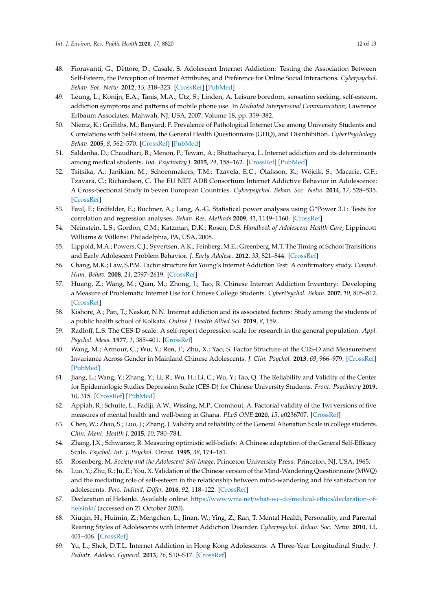- <span id="page-11-0"></span>48. Fioravanti, G.; Dèttore, D.; Casale, S. Adolescent Internet Addiction: Testing the Association Between Self-Esteem, the Perception of Internet Attributes, and Preference for Online Social Interactions. *Cyberpsychol. Behav. Soc. Netw.* **2012**, *15*, 318–323. [\[CrossRef\]](http://dx.doi.org/10.1089/cyber.2011.0358) [\[PubMed\]](http://www.ncbi.nlm.nih.gov/pubmed/22703038)
- 49. Leung, L.; Konijn, E.A.; Tanis, M.A.; Utz, S.; Linden, A. Leisure boredom, sensation seeking, self-esteem, addiction symptoms and patterns of mobile phone use. In *Mediated Interpersonal Communication*; Lawrence Erlbaum Associates: Mahwah, NJ, USA, 2007; Volume 18, pp. 359–382.
- <span id="page-11-1"></span>50. Niemz, K.; Griffiths, M.; Banyard, P. Prevalence of Pathological Internet Use among University Students and Correlations with Self-Esteem, the General Health Questionnaire (GHQ), and Disinhibition. *CyberPsychology Behav.* **2005**, *8*, 562–570. [\[CrossRef\]](http://dx.doi.org/10.1089/cpb.2005.8.562) [\[PubMed\]](http://www.ncbi.nlm.nih.gov/pubmed/16332167)
- <span id="page-11-2"></span>51. Saldanha, D.; Chaudhari, B.; Menon, P.; Tewari, A.; Bhattacharya, L. Internet addiction and its determinants among medical students. *Ind. Psychiatry J.* **2015**, *24*, 158–162. [\[CrossRef\]](http://dx.doi.org/10.4103/0972-6748.181729) [\[PubMed\]](http://www.ncbi.nlm.nih.gov/pubmed/27212820)
- <span id="page-11-3"></span>52. Tsitsika, A.; Janikian, M.; Schoenmakers, T.M.; Tzavela, E.C.; Ólafsson, K.; Wójcik, S.; Macarie, G.F.; Tzavara, C.; Richardson, C. The EU NET ADB Consortium Internet Addictive Behavior in Adolescence: A Cross-Sectional Study in Seven European Countries. *Cyberpsychol. Behav. Soc. Netw.* **2014**, *17*, 528–535. [\[CrossRef\]](http://dx.doi.org/10.1089/cyber.2013.0382)
- <span id="page-11-4"></span>53. Faul, F.; Erdfelder, E.; Buchner, A.; Lang, A.-G. Statistical power analyses using G\*Power 3.1: Tests for correlation and regression analyses. *Behav. Res. Methods* **2009**, *41*, 1149–1160. [\[CrossRef\]](http://dx.doi.org/10.3758/BRM.41.4.1149)
- <span id="page-11-5"></span>54. Neinstein, L.S.; Gordon, C.M.; Katzman, D.K.; Rosen, D.S. *Handbook of Adolescent Health Care*; Lippincott Williams & Wilkins: Philadelphia, PA, USA, 2008.
- <span id="page-11-6"></span>55. Lippold, M.A.; Powers, C.J.; Syvertsen, A.K.; Feinberg, M.E.; Greenberg, M.T. The Timing of School Transitions and Early Adolescent Problem Behavior. *J. Early Adolesc.* **2012**, *33*, 821–844. [\[CrossRef\]](http://dx.doi.org/10.1177/0272431612468317)
- <span id="page-11-7"></span>56. Chang, M.K.; Law, S.P.M. Factor structure for Young's Internet Addiction Test: A confirmatory study. *Comput. Hum. Behav.* **2008**, *24*, 2597–2619. [\[CrossRef\]](http://dx.doi.org/10.1016/j.chb.2008.03.001)
- <span id="page-11-8"></span>57. Huang, Z.; Wang, M.; Qian, M.; Zhong, J.; Tao, R. Chinese Internet Addiction Inventory: Developing a Measure of Problematic Internet Use for Chinese College Students. *CyberPsychol. Behav.* **2007**, *10*, 805–812. [\[CrossRef\]](http://dx.doi.org/10.1089/cpb.2007.9950)
- <span id="page-11-9"></span>58. Kishore, A.; Pan, T.; Naskar, N.N. Internet addiction and its associated factors: Study among the students of a public health school of Kolkata. *Online J. Health Allied Sci.* **2019**, *8*, 159.
- <span id="page-11-10"></span>59. Radloff, L.S. The CES-D scale: A self-report depression scale for research in the general population. *Appl. Psychol. Meas.* **1977**, *1*, 385–401. [\[CrossRef\]](http://dx.doi.org/10.1177/014662167700100306)
- <span id="page-11-11"></span>60. Wang, M.; Armour, C.; Wu, Y.; Ren, F.; Zhu, X.; Yao, S. Factor Structure of the CES-D and Measurement Invariance Across Gender in Mainland Chinese Adolescents. *J. Clin. Psychol.* **2013**, *69*, 966–979. [\[CrossRef\]](http://dx.doi.org/10.1002/jclp.21978) [\[PubMed\]](http://www.ncbi.nlm.nih.gov/pubmed/23775279)
- <span id="page-11-12"></span>61. Jiang, L.; Wang, Y.; Zhang, Y.; Li, R.; Wu, H.; Li, C.; Wu, Y.; Tao, Q. The Reliability and Validity of the Center for Epidemiologic Studies Depression Scale (CES-D) for Chinese University Students. *Front. Psychiatry* **2019**, *10*, 315. [\[CrossRef\]](http://dx.doi.org/10.3389/fpsyt.2019.00315) [\[PubMed\]](http://www.ncbi.nlm.nih.gov/pubmed/31178764)
- <span id="page-11-13"></span>62. Appiah, R.; Schutte, L.; Fadiji, A.W.; Wissing, M.P.; Cromhout, A. Factorial validity of the Twi versions of five measures of mental health and well-being in Ghana. *PLoS ONE* **2020**, *15*, e0236707. [\[CrossRef\]](http://dx.doi.org/10.1371/journal.pone.0236707)
- <span id="page-11-14"></span>63. Chen, W.; Zhao, S.; Luo, J.; Zhang, J. Validity and reliability of the General Alienation Scale in college students. *Chin. Ment. Health J.* **2015**, *10*, 780–784.
- <span id="page-11-15"></span>64. Zhang, J.X.; Schwarzer, R. Measuring optimistic self-beliefs: A Chinese adaptation of the General Self-Efficacy Scale. *Psychol. Int. J. Psychol. Orient.* **1995**, *38*, 174–181.
- <span id="page-11-17"></span><span id="page-11-16"></span>65. Rosenberg, M. *Society and the Adolescent Self-Image*; Princeton University Press: Princeton, NJ, USA, 1965.
- 66. Luo, Y.; Zhu, R.; Ju, E.; You, X. Validation of the Chinese version of the Mind-Wandering Questionnaire (MWQ) and the mediating role of self-esteem in the relationship between mind-wandering and life satisfaction for adolescents. *Pers. Individ. Di*ff*er.* **2016**, *92*, 118–122. [\[CrossRef\]](http://dx.doi.org/10.1016/j.paid.2015.12.028)
- <span id="page-11-18"></span>67. Declaration of Helsinki. Available online: https://www.wma.net/what-we-do/medical-ethics/[declaration-of](https://www.wma.net/what-we-do/medical-ethics/declaration-of-helsinki/)[helsinki](https://www.wma.net/what-we-do/medical-ethics/declaration-of-helsinki/)/ (accessed on 21 October 2020).
- <span id="page-11-19"></span>68. Xiuqin, H.; Huimin, Z.; Mengchen, L.; Jinan, W.; Ying, Z.; Ran, T. Mental Health, Personality, and Parental Rearing Styles of Adolescents with Internet Addiction Disorder. *Cyberpsychol. Behav. Soc. Netw.* **2010**, *13*, 401–406. [\[CrossRef\]](http://dx.doi.org/10.1089/cyber.2009.0222)
- <span id="page-11-20"></span>69. Yu, L.; Shek, D.T.L. Internet Addiction in Hong Kong Adolescents: A Three-Year Longitudinal Study. *J. Pediatr. Adolesc. Gynecol.* **2013**, *26*, S10–S17. [\[CrossRef\]](http://dx.doi.org/10.1016/j.jpag.2013.03.010)